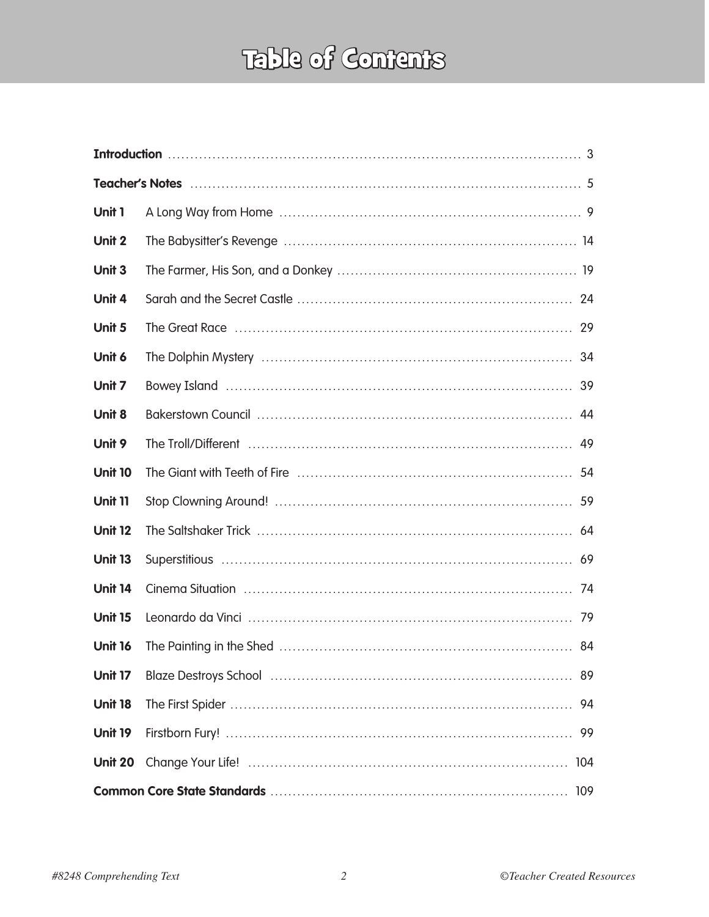## Table of Contents

| Unit 1         |  |     |  |  |  |
|----------------|--|-----|--|--|--|
| Unit 2         |  |     |  |  |  |
| Unit 3         |  |     |  |  |  |
| Unit 4         |  |     |  |  |  |
| Unit 5         |  |     |  |  |  |
| Unit 6         |  |     |  |  |  |
| Unit 7         |  |     |  |  |  |
| Unit 8         |  |     |  |  |  |
| Unit 9         |  |     |  |  |  |
| <b>Unit 10</b> |  |     |  |  |  |
| <b>Unit 11</b> |  |     |  |  |  |
| <b>Unit 12</b> |  |     |  |  |  |
| <b>Unit 13</b> |  |     |  |  |  |
| <b>Unit 14</b> |  |     |  |  |  |
| <b>Unit 15</b> |  |     |  |  |  |
| Unit 16        |  | 84  |  |  |  |
| Unit 17        |  | 89  |  |  |  |
| <b>Unit 18</b> |  | 94  |  |  |  |
| Unit 19        |  | 99  |  |  |  |
| <b>Unit 20</b> |  | 104 |  |  |  |
| 109            |  |     |  |  |  |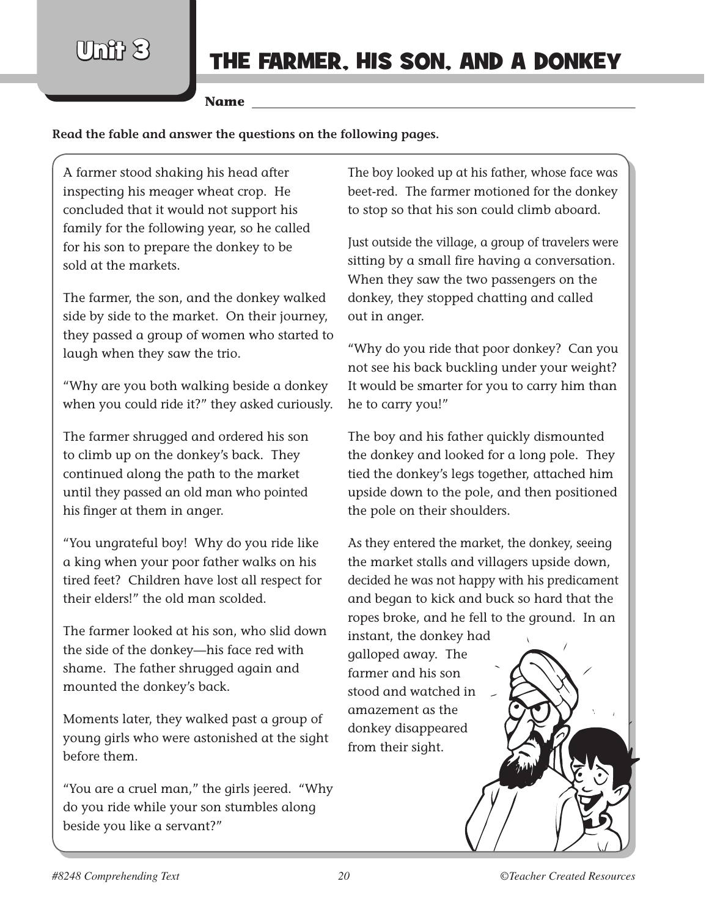$U$ mit  $\chi$ }

**Name**

**Read the fable and answer the questions on the following pages.**

A farmer stood shaking his head after inspecting his meager wheat crop. He concluded that it would not support his family for the following year, so he called for his son to prepare the donkey to be sold at the markets.

The farmer, the son, and the donkey walked side by side to the market. On their journey, they passed a group of women who started to laugh when they saw the trio.

"Why are you both walking beside a donkey when you could ride it?" they asked curiously.

The farmer shrugged and ordered his son to climb up on the donkey's back. They continued along the path to the market until they passed an old man who pointed his finger at them in anger.

"You ungrateful boy! Why do you ride like a king when your poor father walks on his tired feet? Children have lost all respect for their elders!" the old man scolded.

The farmer looked at his son, who slid down the side of the donkey—his face red with shame. The father shrugged again and mounted the donkey's back.

Moments later, they walked past a group of young girls who were astonished at the sight before them.

"You are a cruel man," the girls jeered. "Why do you ride while your son stumbles along beside you like a servant?"

The boy looked up at his father, whose face was beet-red. The farmer motioned for the donkey to stop so that his son could climb aboard.

Just outside the village, a group of travelers were sitting by a small fire having a conversation. When they saw the two passengers on the donkey, they stopped chatting and called out in anger.

"Why do you ride that poor donkey? Can you not see his back buckling under your weight? It would be smarter for you to carry him than he to carry you!"

The boy and his father quickly dismounted the donkey and looked for a long pole. They tied the donkey's legs together, attached him upside down to the pole, and then positioned the pole on their shoulders.

As they entered the market, the donkey, seeing the market stalls and villagers upside down, decided he was not happy with his predicament and began to kick and buck so hard that the ropes broke, and he fell to the ground. In an

instant, the donkey had galloped away. The farmer and his son stood and watched in amazement as the donkey disappeared from their sight.

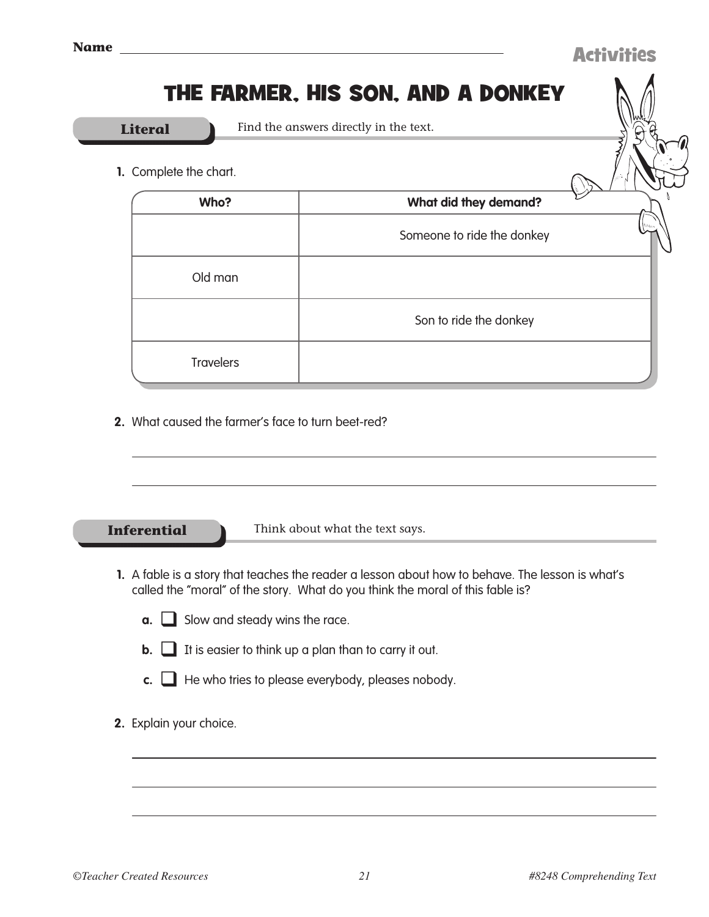## The Farmer, His Son, and a Donkey

**Literal** Find the answers directly in the text.

**1.** Complete the chart.

| Who?             | What did they demand?      |         |
|------------------|----------------------------|---------|
|                  | Someone to ride the donkey | tii iss |
| Old man          |                            |         |
|                  | Son to ride the donkey     |         |
| <b>Travelers</b> |                            |         |

**2.** What caused the farmer's face to turn beet-red?

**Inferential** Think about what the text says.

- **1.** A fable is a story that teaches the reader a lesson about how to behave. The lesson is what's called the "moral" of the story. What do you think the moral of this fable is?
	- **a.** Slow and steady wins the race.
	- **b.**  $\Box$  It is easier to think up a plan than to carry it out.
	- **c.**  $\Box$  He who tries to please everybody, pleases nobody.
- **2.** Explain your choice.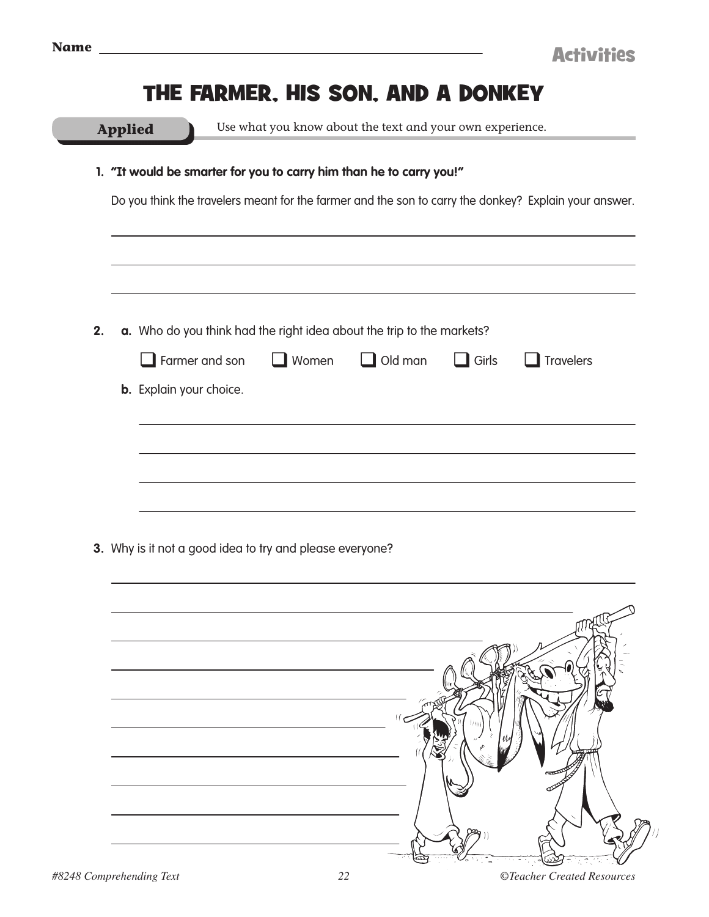<u> 1990 - Johann John Stone, mars et al. (1990)</u>

|    | <b>Applied</b>                                                      |                       | Use what you know about the text and your own experience.             |                |              |                                                                                                       |  |
|----|---------------------------------------------------------------------|-----------------------|-----------------------------------------------------------------------|----------------|--------------|-------------------------------------------------------------------------------------------------------|--|
|    | 1. "It would be smarter for you to carry him than he to carry you!" |                       |                                                                       |                |              |                                                                                                       |  |
|    |                                                                     |                       |                                                                       |                |              | Do you think the travelers meant for the farmer and the son to carry the donkey? Explain your answer. |  |
|    |                                                                     |                       |                                                                       |                |              |                                                                                                       |  |
| 2. |                                                                     |                       | a. Who do you think had the right idea about the trip to the markets? |                |              |                                                                                                       |  |
|    |                                                                     | $\Box$ Farmer and son | $\Box$ Women                                                          | $\Box$ Old man | $\Box$ Girls | $\Box$ Travelers                                                                                      |  |
|    | <b>b.</b> Explain your choice.                                      |                       |                                                                       |                |              |                                                                                                       |  |
|    |                                                                     |                       |                                                                       |                |              |                                                                                                       |  |
|    |                                                                     |                       |                                                                       |                |              |                                                                                                       |  |
|    |                                                                     |                       |                                                                       |                |              |                                                                                                       |  |
|    |                                                                     |                       |                                                                       |                |              |                                                                                                       |  |
|    |                                                                     |                       |                                                                       |                |              |                                                                                                       |  |
|    |                                                                     |                       |                                                                       |                |              |                                                                                                       |  |
|    | 3. Why is it not a good idea to try and please everyone?            |                       |                                                                       |                |              |                                                                                                       |  |
|    |                                                                     |                       |                                                                       |                |              |                                                                                                       |  |
|    |                                                                     |                       |                                                                       |                |              |                                                                                                       |  |
|    |                                                                     |                       |                                                                       |                |              |                                                                                                       |  |
|    |                                                                     |                       |                                                                       |                |              |                                                                                                       |  |
|    |                                                                     |                       |                                                                       |                |              |                                                                                                       |  |
|    |                                                                     |                       |                                                                       |                |              |                                                                                                       |  |
|    |                                                                     |                       |                                                                       |                |              |                                                                                                       |  |
|    |                                                                     |                       |                                                                       |                |              |                                                                                                       |  |
|    |                                                                     |                       |                                                                       |                |              |                                                                                                       |  |